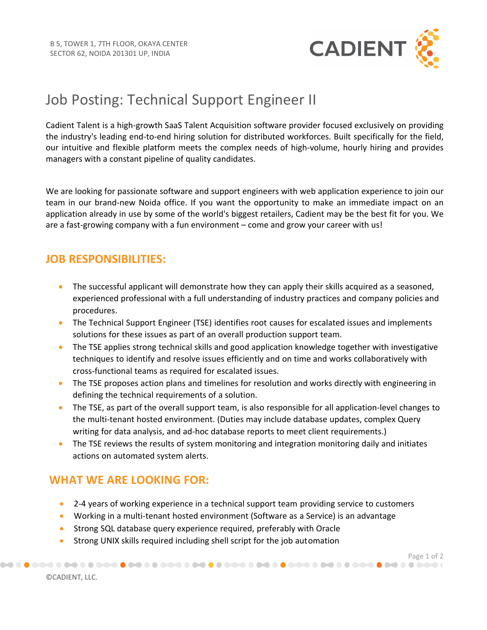

# Job Posting: Technical Support Engineer II

Cadient Talent is a high-growth SaaS Talent Acquisition software provider focused exclusively on providing the industry's leading end-to-end hiring solution for distributed workforces. Built specifically for the field, our intuitive and flexible platform meets the complex needs of high-volume, hourly hiring and provides managers with a constant pipeline of quality candidates.

We are looking for passionate software and support engineers with web application experience to join our team in our brand-new Noida office. If you want the opportunity to make an immediate impact on an application already in use by some of the world's biggest retailers, Cadient may be the best fit for you. We are a fast-growing company with a fun environment – come and grow your career with us!

## **JOB RESPONSIBILITIES:**

- The successful applicant will demonstrate how they can apply their skills acquired as a seasoned, experienced professional with a full understanding of industry practices and company policies and procedures.
- The Technical Support Engineer (TSE) identifies root causes for escalated issues and implements solutions for these issues as part of an overall production support team.
- The TSE applies strong technical skills and good application knowledge together with investigative techniques to identify and resolve issues efficiently and on time and works collaboratively with cross-functional teams as required for escalated issues.
- The TSE proposes action plans and timelines for resolution and works directly with engineering in defining the technical requirements of a solution.
- The TSE, as part of the overall support team, is also responsible for all application-level changes to the multi-tenant hosted environment. (Duties may include database updates, complex Query writing for data analysis, and ad-hoc database reports to meet client requirements.)
- The TSE reviews the results of system monitoring and integration monitoring daily and initiates actions on automated system alerts.

## **WHAT WE ARE LOOKING FOR:**

• 2-4 years of working experience in a technical support team providing service to customers

Page 1 of 2<br>) تحصین که که هم **که شرکت که که هم که شرکت که که شرکت که هم که هم که هم که که شرکت که هم که هم که هم که شرکت ک** 

- Working in a multi-tenant hosted environment (Software as a Service) is an advantage
- Strong SQL database query experience required, preferably with Oracle
- Strong UNIX skills required including shell script for the job automation